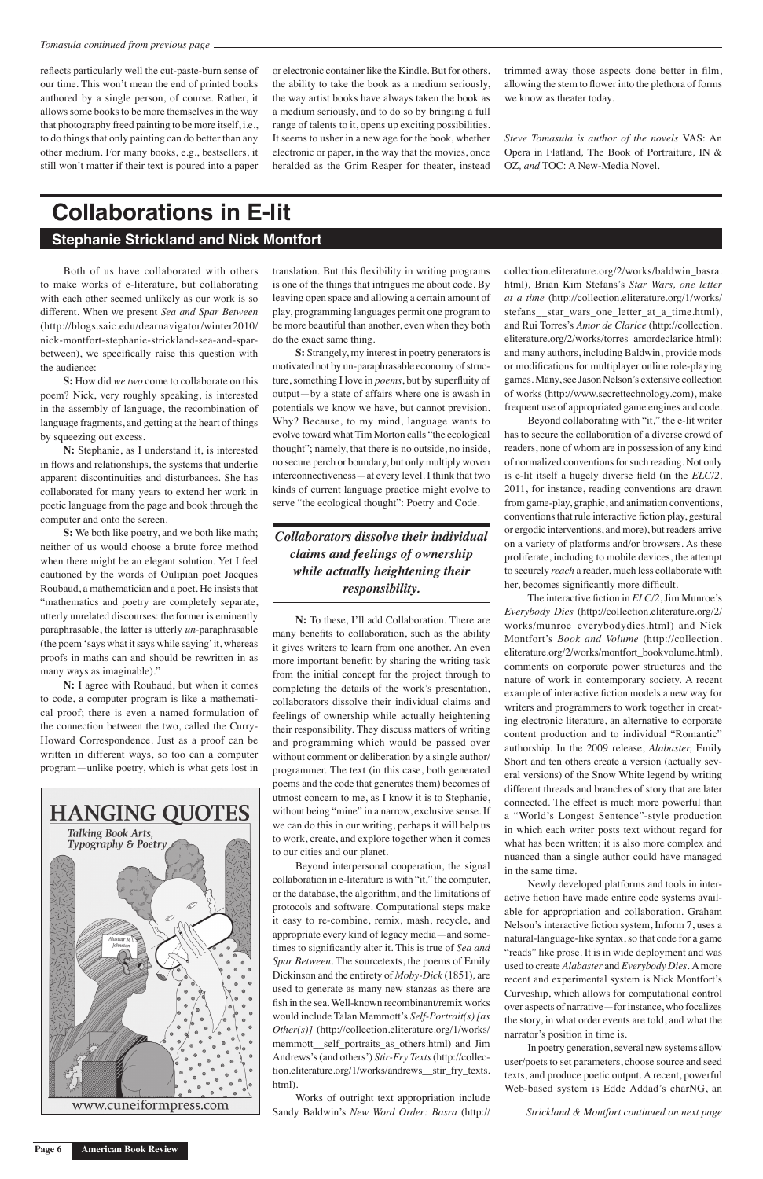reflects particularly well the cut-paste-burn sense of our time. This won't mean the end of printed books authored by a single person, of course. Rather, it allows some books to be more themselves in the way that photography freed painting to be more itself, i.e., to do things that only painting can do better than any other medium. For many books, e.g., bestsellers, it still won't matter if their text is poured into a paper

or electronic container like the Kindle. But for others, the ability to take the book as a medium seriously, the way artist books have always taken the book as a medium seriously, and to do so by bringing a full range of talents to it, opens up exciting possibilities. It seems to usher in a new age for the book, whether electronic or paper, in the way that the movies, once heralded as the Grim Reaper for theater, instead

trimmed away those aspects done better in film, allowing the stem to flower into the plethora of forms we know as theater today.

*Steve Tomasula is author of the novels* VAS: An Opera in Flatland*,* The Book of Portraiture*,* IN & OZ*, and* TOC: A New-Media Novel*.*

## **Collaborations in E-lit Stephanie Strickland and Nick Montfort**

Both of us have collaborated with others to make works of e-literature, but collaborating with each other seemed unlikely as our work is so different. When we present *Sea and Spar Between* (http://blogs.saic.edu/dearnavigator/winter2010/ nick-montfort-stephanie-strickland-sea-and-sparbetween), we specifically raise this question with the audience:

**S:** How did *we two* come to collaborate on this poem? Nick, very roughly speaking, is interested in the assembly of language, the recombination of language fragments, and getting at the heart of things by squeezing out excess.

**N:** Stephanie, as I understand it, is interested in flows and relationships, the systems that underlie apparent discontinuities and disturbances. She has collaborated for many years to extend her work in poetic language from the page and book through the computer and onto the screen.

**S:** We both like poetry, and we both like math; neither of us would choose a brute force method when there might be an elegant solution. Yet I feel cautioned by the words of Oulipian poet Jacques Roubaud, a mathematician and a poet. He insists that "mathematics and poetry are completely separate, utterly unrelated discourses: the former is eminently paraphrasable, the latter is utterly *un*-paraphrasable (the poem 'says what it says while saying' it, whereas proofs in maths can and should be rewritten in as many ways as imaginable)."

**N:** I agree with Roubaud, but when it comes to code, a computer program is like a mathematical proof; there is even a named formulation of the connection between the two, called the Curry-Howard Correspondence. Just as a proof can be written in different ways, so too can a computer program—unlike poetry, which is what gets lost in



translation. But this flexibility in writing programs is one of the things that intrigues me about code. By leaving open space and allowing a certain amount of play, programming languages permit one program to be more beautiful than another, even when they both do the exact same thing.

**S:** Strangely, my interest in poetry generators is motivated not by un-paraphrasable economy of structure, something I love in *poems*, but by superfluity of output—by a state of affairs where one is awash in potentials we know we have, but cannot prevision. Why? Because, to my mind, language wants to evolve toward what Tim Morton calls "the ecological thought"; namely, that there is no outside, no inside, no secure perch or boundary, but only multiply woven interconnectiveness—at every level. I think that two kinds of current language practice might evolve to serve "the ecological thought": Poetry and Code.

## *Collaborators dissolve their individual claims and feelings of ownership while actually heightening their responsibility.*

**N:** To these, I'll add Collaboration. There are many benefits to collaboration, such as the ability it gives writers to learn from one another. An even more important benefit: by sharing the writing task from the initial concept for the project through to completing the details of the work's presentation, collaborators dissolve their individual claims and feelings of ownership while actually heightening their responsibility. They discuss matters of writing and programming which would be passed over without comment or deliberation by a single author/ programmer. The text (in this case, both generated poems and the code that generates them) becomes of utmost concern to me, as I know it is to Stephanie, without being "mine" in a narrow, exclusive sense. If we can do this in our writing, perhaps it will help us to work, create, and explore together when it comes to our cities and our planet. Beyond interpersonal cooperation, the signal collaboration in e-literature is with "it," the computer, or the database, the algorithm, and the limitations of protocols and software. Computational steps make it easy to re-combine, remix, mash, recycle, and appropriate every kind of legacy media—and sometimes to significantly alter it. This is true of *Sea and Spar Between.* The sourcetexts, the poems of Emily Dickinson and the entirety of *Moby-Dick* (1851)*,* are used to generate as many new stanzas as there are fish in the sea. Well-known recombinant/remix works would include Talan Memmott's *Self-Portrait(s) [as Other(s)]* (http://collection.eliterature.org/1/works/ memmott\_\_self\_portraits\_as\_others.html) and Jim Andrews's (and others') *Stir-Fry Texts* (http://collection.eliterature.org/1/works/andrews\_\_stir\_fry\_texts. html)*.*

Works of outright text appropriation include Sandy Baldwin's *New Word Order: Basra* (http:// collection.eliterature.org/2/works/baldwin\_basra. html)*,* Brian Kim Stefans's *Star Wars, one letter at a time* (http://collection.eliterature.org/1/works/ stefans\_\_star\_wars\_one\_letter\_at\_a\_time.html), and Rui Torres's *Amor de Clarice* (http://collection. eliterature.org/2/works/torres\_amordeclarice.html); and many authors, including Baldwin, provide mods or modifications for multiplayer online role-playing games. Many, see Jason Nelson's extensive collection of works (http://www.secrettechnology.com), make frequent use of appropriated game engines and code.

Beyond collaborating with "it," the e-lit writer has to secure the collaboration of a diverse crowd of readers, none of whom are in possession of any kind of normalized conventions for such reading. Not only is e-lit itself a hugely diverse field (in the *ELC/2*, 2011, for instance, reading conventions are drawn from game-play, graphic, and animation conventions, conventions that rule interactive fiction play, gestural or ergodic interventions, and more), but readers arrive on a variety of platforms and/or browsers. As these proliferate, including to mobile devices, the attempt to securely *reach* a reader, much less collaborate with her, becomes significantly more difficult.

The interactive fiction in *ELC/2*, Jim Munroe's *Everybody Dies* (http://collection.eliterature.org/2/ works/munroe\_everybodydies.html) and Nick Montfort's *Book and Volume* (http://collection. eliterature.org/2/works/montfort\_bookvolume.html), comments on corporate power structures and the nature of work in contemporary society. A recent example of interactive fiction models a new way for writers and programmers to work together in creating electronic literature, an alternative to corporate content production and to individual "Romantic" authorship. In the 2009 release, *Alabaster,* Emily Short and ten others create a version (actually several versions) of the Snow White legend by writing different threads and branches of story that are later connected. The effect is much more powerful than a "World's Longest Sentence"-style production in which each writer posts text without regard for what has been written; it is also more complex and nuanced than a single author could have managed

in the same time.

Newly developed platforms and tools in interactive fiction have made entire code systems available for appropriation and collaboration. Graham Nelson's interactive fiction system, Inform 7, uses a natural-language-like syntax, so that code for a game "reads" like prose. It is in wide deployment and was used to create *Alabaster* and *Everybody Dies*. A more recent and experimental system is Nick Montfort's Curveship, which allows for computational control over aspects of narrative—for instance, who focalizes the story, in what order events are told, and what the narrator's position in time is.

In poetry generation, several new systems allow user/poets to set parameters, choose source and seed texts, and produce poetic output. A recent, powerful Web-based system is Edde Addad's charNG, an

*Strickland & Montfort continued on next page*